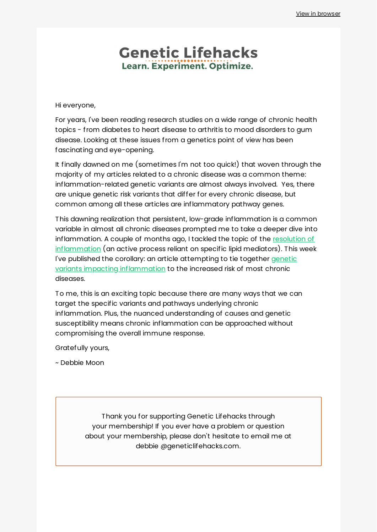## **Genetic Lifehacks** Learn. Experiment. Optimize.

Hi everyone,

For years, I've been reading research studies on a wide range of chronic health topics - from diabetes to heart disease to arthritis to mood disorders to gum disease. Looking at these issues from a genetics point of view has been fascinating and eye-opening.

It finally dawned on me (sometimes I'm not too quick!) that woven through the majority of my articles related to a chronic disease was a common theme: inflammation-related genetic variants are almost always involved. Yes, there are unique genetic risk variants that differ for every chronic disease, but common among all these articles are inflammatory pathway genes.

This dawning realization that persistent, low-grade inflammation is a common variable in almost all chronic diseases prompted me to take a deeper dive into [inflammation.](https://www.geneticlifehacks.com/specialized-pro-resolving-mediators-getting-rid-of-chronic-inflammation/) A couple of months ago, I tackled the topic of the resolution of inflammation (an active process reliant on specific lipid mediators). This week I've published the corollary: an article attempting to tie together genetic variants impacting [inflammation](https://www.geneticlifehacks.com/inflammation-causes-and-natural-solutions/) to the increased risk of most chronic diseases.

To me, this is an exciting topic because there are many ways that we can target the specific variants and pathways underlying chronic inflammation. Plus, the nuanced understanding of causes and genetic susceptibility means chronic inflammation can be approached without compromising the overall immune response.

Gratefully yours,

~ Debbie Moon

Thank you for supporting Genetic Lifehacks through your membership! If you ever have a problem or question about your membership, please don't hesitate to email me at debbie @geneticlifehacks.com.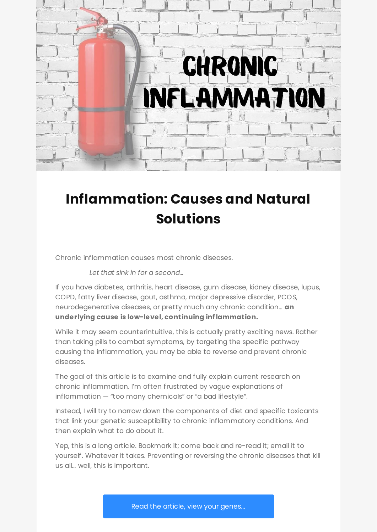

# **[Inflammation:](https://www.geneticlifehacks.com/inflammation-causes-and-natural-solutions/) Causes and Natural Solutions**

Chronic inflammation causes most chronic diseases.

*Let that sink in for a second…*

If you have diabetes, arthritis, heart disease, gum disease, kidney disease, lupus, COPD, fatty liver disease, gout, asthma, major depressive disorder, PCOS, neurodegenerative diseases, or pretty much any chronic condition… **an underlying cause is low-level, continuing inflammation.**

While it may seem counterintuitive, this is actually pretty exciting news. Rather than taking pills to combat symptoms, by targeting the specific pathway causing the inflammation, you may be able to reverse and prevent chronic diseases.

The goal of this article is to examine and fully explain current research on chronic inflammation. I'm often frustrated by vague explanations of inflammation — "too many chemicals" or "a bad lifestyle".

Instead, I will try to narrow down the components of diet and specific toxicants that link your genetic susceptibility to chronic inflammatory conditions. And then explain what to do about it.

Yep, this is a long article. Bookmark it; come back and re-read it; email it to yourself. Whatever it takes. Preventing or reversing the chronic diseases that kill us all… well, this is important.